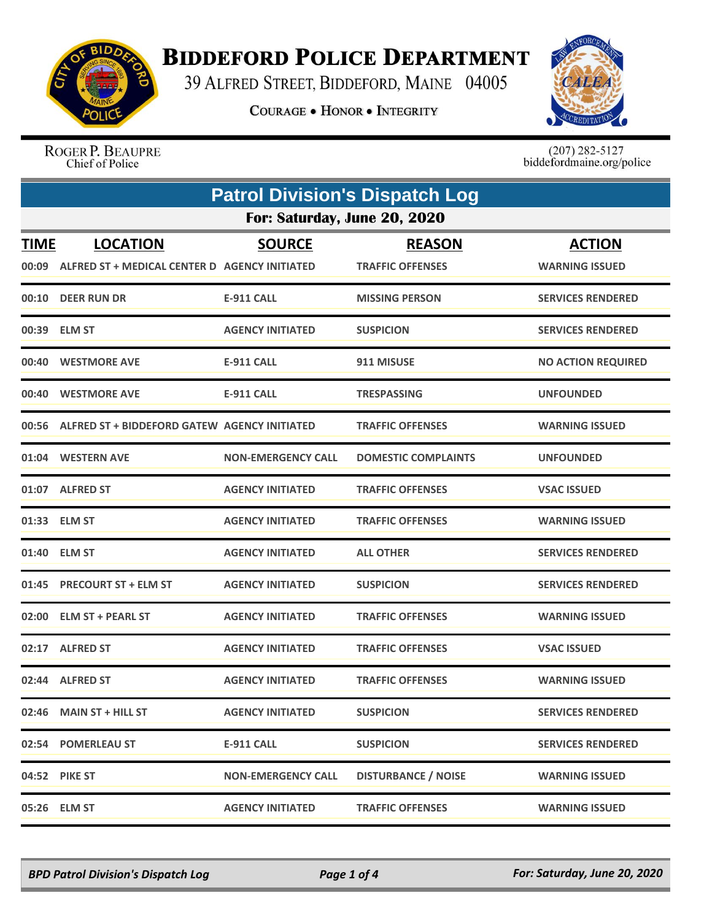

## **BIDDEFORD POLICE DEPARTMENT**

39 ALFRED STREET, BIDDEFORD, MAINE 04005

**COURAGE . HONOR . INTEGRITY** 



ROGER P. BEAUPRE Chief of Police

 $(207)$  282-5127<br>biddefordmaine.org/police

| <b>Patrol Division's Dispatch Log</b> |                                                                        |                           |                                          |                                        |  |  |
|---------------------------------------|------------------------------------------------------------------------|---------------------------|------------------------------------------|----------------------------------------|--|--|
|                                       | For: Saturday, June 20, 2020                                           |                           |                                          |                                        |  |  |
| <b>TIME</b>                           | <b>LOCATION</b><br>00:09 ALFRED ST + MEDICAL CENTER D AGENCY INITIATED | <b>SOURCE</b>             | <b>REASON</b><br><b>TRAFFIC OFFENSES</b> | <b>ACTION</b><br><b>WARNING ISSUED</b> |  |  |
| 00:10                                 | <b>DEER RUN DR</b>                                                     | <b>E-911 CALL</b>         | <b>MISSING PERSON</b>                    | <b>SERVICES RENDERED</b>               |  |  |
|                                       | 00:39 ELM ST                                                           | <b>AGENCY INITIATED</b>   | <b>SUSPICION</b>                         | <b>SERVICES RENDERED</b>               |  |  |
|                                       | 00:40 WESTMORE AVE                                                     | <b>E-911 CALL</b>         | 911 MISUSE                               | <b>NO ACTION REQUIRED</b>              |  |  |
| 00:40                                 | <b>WESTMORE AVE</b>                                                    | <b>E-911 CALL</b>         | <b>TRESPASSING</b>                       | <b>UNFOUNDED</b>                       |  |  |
|                                       | 00:56 ALFRED ST + BIDDEFORD GATEW AGENCY INITIATED                     |                           | <b>TRAFFIC OFFENSES</b>                  | <b>WARNING ISSUED</b>                  |  |  |
|                                       | 01:04 WESTERN AVE                                                      | <b>NON-EMERGENCY CALL</b> | <b>DOMESTIC COMPLAINTS</b>               | <b>UNFOUNDED</b>                       |  |  |
|                                       | 01:07 ALFRED ST                                                        | <b>AGENCY INITIATED</b>   | <b>TRAFFIC OFFENSES</b>                  | <b>VSAC ISSUED</b>                     |  |  |
|                                       | 01:33 ELM ST                                                           | <b>AGENCY INITIATED</b>   | <b>TRAFFIC OFFENSES</b>                  | <b>WARNING ISSUED</b>                  |  |  |
|                                       | 01:40 ELM ST                                                           | <b>AGENCY INITIATED</b>   | <b>ALL OTHER</b>                         | <b>SERVICES RENDERED</b>               |  |  |
|                                       | 01:45 PRECOURT ST + ELM ST                                             | <b>AGENCY INITIATED</b>   | <b>SUSPICION</b>                         | <b>SERVICES RENDERED</b>               |  |  |
| 02:00                                 | <b>ELM ST + PEARL ST</b>                                               | <b>AGENCY INITIATED</b>   | <b>TRAFFIC OFFENSES</b>                  | <b>WARNING ISSUED</b>                  |  |  |
|                                       | 02:17 ALFRED ST                                                        | <b>AGENCY INITIATED</b>   | <b>TRAFFIC OFFENSES</b>                  | <b>VSAC ISSUED</b>                     |  |  |
|                                       | 02:44 ALFRED ST                                                        | <b>AGENCY INITIATED</b>   | <b>TRAFFIC OFFENSES</b>                  | <b>WARNING ISSUED</b>                  |  |  |
|                                       | 02:46 MAIN ST + HILL ST                                                | <b>AGENCY INITIATED</b>   | <b>SUSPICION</b>                         | <b>SERVICES RENDERED</b>               |  |  |
|                                       | 02:54 POMERLEAU ST                                                     | <b>E-911 CALL</b>         | <b>SUSPICION</b>                         | <b>SERVICES RENDERED</b>               |  |  |
|                                       | 04:52 PIKE ST                                                          | <b>NON-EMERGENCY CALL</b> | <b>DISTURBANCE / NOISE</b>               | <b>WARNING ISSUED</b>                  |  |  |
|                                       | 05:26 ELM ST                                                           | <b>AGENCY INITIATED</b>   | <b>TRAFFIC OFFENSES</b>                  | <b>WARNING ISSUED</b>                  |  |  |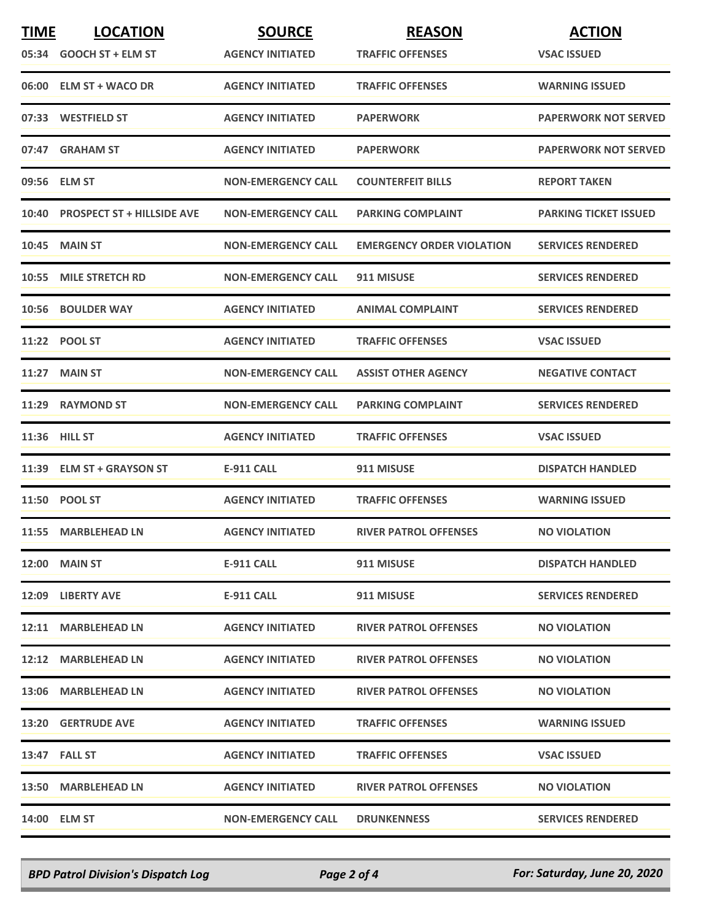| <b>TIME</b> | <b>LOCATION</b>                   | <b>SOURCE</b>             | <b>REASON</b>                    | <b>ACTION</b>                |
|-------------|-----------------------------------|---------------------------|----------------------------------|------------------------------|
|             | 05:34 GOOCH ST + ELM ST           | <b>AGENCY INITIATED</b>   | <b>TRAFFIC OFFENSES</b>          | <b>VSAC ISSUED</b>           |
|             | 06:00 ELM ST + WACO DR            | <b>AGENCY INITIATED</b>   | <b>TRAFFIC OFFENSES</b>          | <b>WARNING ISSUED</b>        |
|             | 07:33 WESTFIELD ST                | <b>AGENCY INITIATED</b>   | <b>PAPERWORK</b>                 | <b>PAPERWORK NOT SERVED</b>  |
|             | 07:47 GRAHAM ST                   | <b>AGENCY INITIATED</b>   | <b>PAPERWORK</b>                 | <b>PAPERWORK NOT SERVED</b>  |
|             | 09:56 ELM ST                      | <b>NON-EMERGENCY CALL</b> | <b>COUNTERFEIT BILLS</b>         | <b>REPORT TAKEN</b>          |
| 10:40       | <b>PROSPECT ST + HILLSIDE AVE</b> | <b>NON-EMERGENCY CALL</b> | <b>PARKING COMPLAINT</b>         | <b>PARKING TICKET ISSUED</b> |
| 10:45       | <b>MAIN ST</b>                    | <b>NON-EMERGENCY CALL</b> | <b>EMERGENCY ORDER VIOLATION</b> | <b>SERVICES RENDERED</b>     |
|             | 10:55 MILE STRETCH RD             | <b>NON-EMERGENCY CALL</b> | 911 MISUSE                       | <b>SERVICES RENDERED</b>     |
| 10:56       | <b>BOULDER WAY</b>                | <b>AGENCY INITIATED</b>   | <b>ANIMAL COMPLAINT</b>          | <b>SERVICES RENDERED</b>     |
|             | 11:22 POOL ST                     | <b>AGENCY INITIATED</b>   | <b>TRAFFIC OFFENSES</b>          | <b>VSAC ISSUED</b>           |
|             | <b>11:27 MAIN ST</b>              | <b>NON-EMERGENCY CALL</b> | <b>ASSIST OTHER AGENCY</b>       | <b>NEGATIVE CONTACT</b>      |
| 11:29       | <b>RAYMOND ST</b>                 | <b>NON-EMERGENCY CALL</b> | <b>PARKING COMPLAINT</b>         | <b>SERVICES RENDERED</b>     |
|             | 11:36 HILL ST                     | <b>AGENCY INITIATED</b>   | <b>TRAFFIC OFFENSES</b>          | <b>VSAC ISSUED</b>           |
|             | 11:39 ELM ST + GRAYSON ST         | <b>E-911 CALL</b>         | 911 MISUSE                       | <b>DISPATCH HANDLED</b>      |
|             | 11:50 POOL ST                     | <b>AGENCY INITIATED</b>   | <b>TRAFFIC OFFENSES</b>          | <b>WARNING ISSUED</b>        |
|             | 11:55 MARBLEHEAD LN               | <b>AGENCY INITIATED</b>   | <b>RIVER PATROL OFFENSES</b>     | <b>NO VIOLATION</b>          |
|             | <b>12:00 MAIN ST</b>              | E-911 CALL                | 911 MISUSE                       | <b>DISPATCH HANDLED</b>      |
|             | 12:09 LIBERTY AVE                 | E-911 CALL                | 911 MISUSE                       | <b>SERVICES RENDERED</b>     |
|             | 12:11 MARBLEHEAD LN               | <b>AGENCY INITIATED</b>   | <b>RIVER PATROL OFFENSES</b>     | <b>NO VIOLATION</b>          |
|             | 12:12 MARBLEHEAD LN               | <b>AGENCY INITIATED</b>   | <b>RIVER PATROL OFFENSES</b>     | <b>NO VIOLATION</b>          |
|             | 13:06 MARBLEHEAD LN               | <b>AGENCY INITIATED</b>   | <b>RIVER PATROL OFFENSES</b>     | <b>NO VIOLATION</b>          |
|             | <b>13:20 GERTRUDE AVE</b>         | <b>AGENCY INITIATED</b>   | <b>TRAFFIC OFFENSES</b>          | <b>WARNING ISSUED</b>        |
|             | 13:47 FALL ST                     | <b>AGENCY INITIATED</b>   | <b>TRAFFIC OFFENSES</b>          | <b>VSAC ISSUED</b>           |
|             | 13:50 MARBLEHEAD LN               | <b>AGENCY INITIATED</b>   | <b>RIVER PATROL OFFENSES</b>     | <b>NO VIOLATION</b>          |
|             | 14:00 ELM ST                      | <b>NON-EMERGENCY CALL</b> | <b>DRUNKENNESS</b>               | <b>SERVICES RENDERED</b>     |

*BPD Patrol Division's Dispatch Log Page 2 of 4 For: Saturday, June 20, 2020*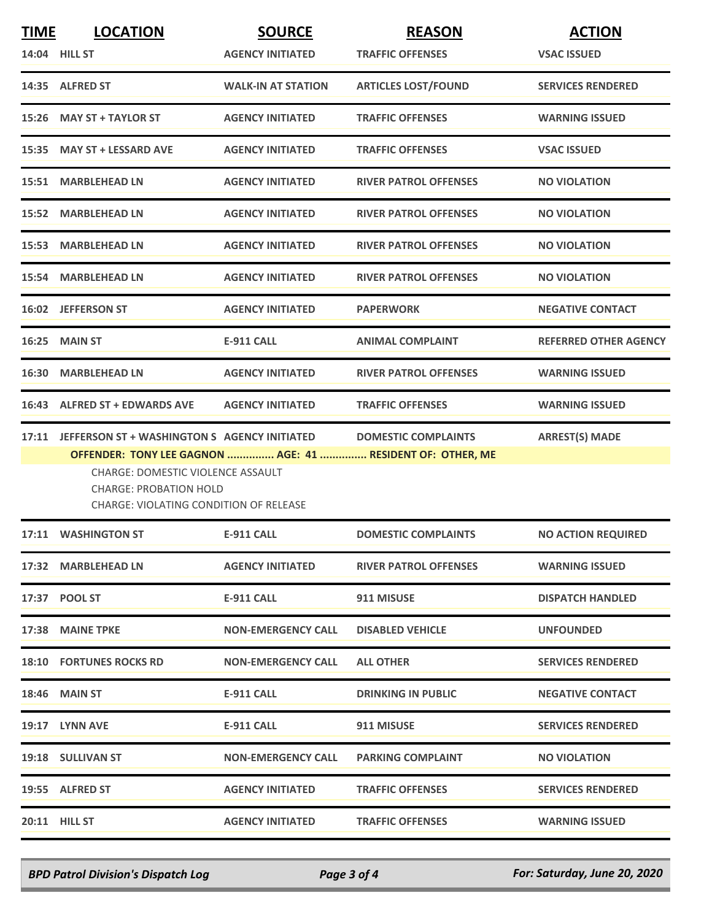| <b>TIME</b> | <b>LOCATION</b>                                                                                                                                                            | <b>SOURCE</b>             | <b>REASON</b>                                                                            | <b>ACTION</b>                |
|-------------|----------------------------------------------------------------------------------------------------------------------------------------------------------------------------|---------------------------|------------------------------------------------------------------------------------------|------------------------------|
|             | 14:04 HILL ST                                                                                                                                                              | <b>AGENCY INITIATED</b>   | <b>TRAFFIC OFFENSES</b>                                                                  | <b>VSAC ISSUED</b>           |
|             | 14:35 ALFRED ST                                                                                                                                                            | <b>WALK-IN AT STATION</b> | <b>ARTICLES LOST/FOUND</b>                                                               | <b>SERVICES RENDERED</b>     |
|             | 15:26 MAY ST + TAYLOR ST                                                                                                                                                   | <b>AGENCY INITIATED</b>   | <b>TRAFFIC OFFENSES</b>                                                                  | <b>WARNING ISSUED</b>        |
|             | 15:35 MAY ST + LESSARD AVE                                                                                                                                                 | <b>AGENCY INITIATED</b>   | <b>TRAFFIC OFFENSES</b>                                                                  | <b>VSAC ISSUED</b>           |
|             | 15:51 MARBLEHEAD LN                                                                                                                                                        | <b>AGENCY INITIATED</b>   | <b>RIVER PATROL OFFENSES</b>                                                             | <b>NO VIOLATION</b>          |
|             | 15:52 MARBLEHEAD LN                                                                                                                                                        | <b>AGENCY INITIATED</b>   | <b>RIVER PATROL OFFENSES</b>                                                             | <b>NO VIOLATION</b>          |
| 15:53       | <b>MARBLEHEAD LN</b>                                                                                                                                                       | <b>AGENCY INITIATED</b>   | <b>RIVER PATROL OFFENSES</b>                                                             | <b>NO VIOLATION</b>          |
|             | 15:54 MARBLEHEAD LN                                                                                                                                                        | <b>AGENCY INITIATED</b>   | <b>RIVER PATROL OFFENSES</b>                                                             | <b>NO VIOLATION</b>          |
|             | 16:02 JEFFERSON ST                                                                                                                                                         | <b>AGENCY INITIATED</b>   | <b>PAPERWORK</b>                                                                         | <b>NEGATIVE CONTACT</b>      |
| 16:25       | <b>MAIN ST</b>                                                                                                                                                             | <b>E-911 CALL</b>         | <b>ANIMAL COMPLAINT</b>                                                                  | <b>REFERRED OTHER AGENCY</b> |
| 16:30       | <b>MARBLEHEAD LN</b>                                                                                                                                                       | <b>AGENCY INITIATED</b>   | <b>RIVER PATROL OFFENSES</b>                                                             | <b>WARNING ISSUED</b>        |
|             | 16:43 ALFRED ST + EDWARDS AVE                                                                                                                                              | <b>AGENCY INITIATED</b>   | <b>TRAFFIC OFFENSES</b>                                                                  | <b>WARNING ISSUED</b>        |
| 17:11       | JEFFERSON ST + WASHINGTON S AGENCY INITIATED<br><b>CHARGE: DOMESTIC VIOLENCE ASSAULT</b><br><b>CHARGE: PROBATION HOLD</b><br><b>CHARGE: VIOLATING CONDITION OF RELEASE</b> |                           | <b>DOMESTIC COMPLAINTS</b><br>OFFENDER: TONY LEE GAGNON  AGE: 41  RESIDENT OF: OTHER, ME | <b>ARREST(S) MADE</b>        |
|             | 17:11 WASHINGTON ST                                                                                                                                                        | <b>E-911 CALL</b>         | <b>DOMESTIC COMPLAINTS</b>                                                               | <b>NO ACTION REQUIRED</b>    |
|             | 17:32 MARBLEHEAD LN                                                                                                                                                        | <b>AGENCY INITIATED</b>   | <b>RIVER PATROL OFFENSES</b>                                                             | <b>WARNING ISSUED</b>        |
|             | 17:37 POOL ST                                                                                                                                                              | E-911 CALL                | 911 MISUSE                                                                               | <b>DISPATCH HANDLED</b>      |
|             | 17:38 MAINE TPKE                                                                                                                                                           | <b>NON-EMERGENCY CALL</b> | <b>DISABLED VEHICLE</b>                                                                  | <b>UNFOUNDED</b>             |
|             | <b>18:10 FORTUNES ROCKS RD</b>                                                                                                                                             | <b>NON-EMERGENCY CALL</b> | <b>ALL OTHER</b>                                                                         | <b>SERVICES RENDERED</b>     |
|             | <b>18:46 MAIN ST</b>                                                                                                                                                       | E-911 CALL                | <b>DRINKING IN PUBLIC</b>                                                                | <b>NEGATIVE CONTACT</b>      |
|             | 19:17 LYNN AVE                                                                                                                                                             | E-911 CALL                | 911 MISUSE                                                                               | <b>SERVICES RENDERED</b>     |
|             | 19:18 SULLIVAN ST                                                                                                                                                          | <b>NON-EMERGENCY CALL</b> | <b>PARKING COMPLAINT</b>                                                                 | <b>NO VIOLATION</b>          |
|             | 19:55 ALFRED ST                                                                                                                                                            | <b>AGENCY INITIATED</b>   | <b>TRAFFIC OFFENSES</b>                                                                  | <b>SERVICES RENDERED</b>     |
|             | 20:11 HILL ST                                                                                                                                                              | <b>AGENCY INITIATED</b>   | <b>TRAFFIC OFFENSES</b>                                                                  | <b>WARNING ISSUED</b>        |

*BPD Patrol Division's Dispatch Log Page 3 of 4 For: Saturday, June 20, 2020*